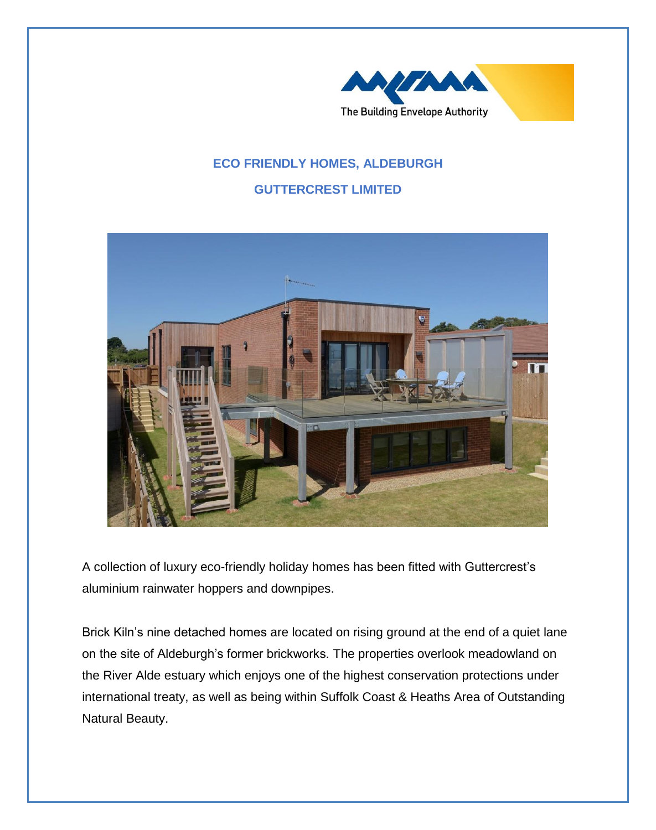

## **ECO FRIENDLY HOMES, ALDEBURGH GUTTERCREST LIMITED**



A collection of luxury eco-friendly holiday homes has been fitted with Guttercrest's aluminium rainwater hoppers and downpipes.

Brick Kiln's nine detached homes are located on rising ground at the end of a quiet lane on the site of Aldeburgh's former brickworks. The properties overlook meadowland on the River Alde estuary which enjoys one of the highest conservation protections under international treaty, as well as being within Suffolk Coast & Heaths Area of Outstanding Natural Beauty.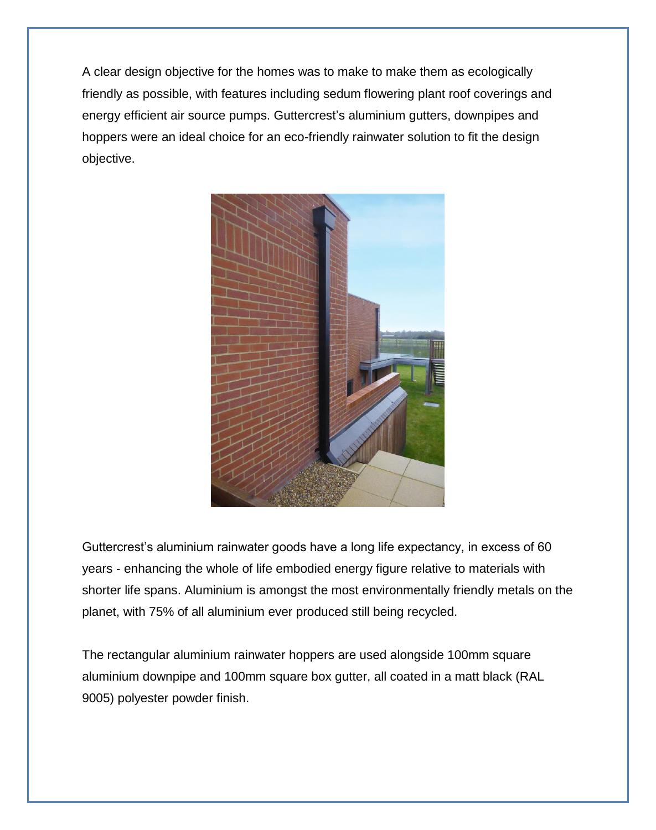A clear design objective for the homes was to make to make them as ecologically friendly as possible, with features including sedum flowering plant roof coverings and energy efficient air source pumps. Guttercrest's aluminium gutters, downpipes and hoppers were an ideal choice for an eco-friendly rainwater solution to fit the design objective.



Guttercrest's aluminium rainwater goods have a long life expectancy, in excess of 60 years - enhancing the whole of life embodied energy figure relative to materials with shorter life spans. Aluminium is amongst the most environmentally friendly metals on the planet, with 75% of all aluminium ever produced still being recycled.

The rectangular aluminium rainwater hoppers are used alongside 100mm square aluminium downpipe and 100mm square box gutter, all coated in a matt black (RAL 9005) polyester powder finish.